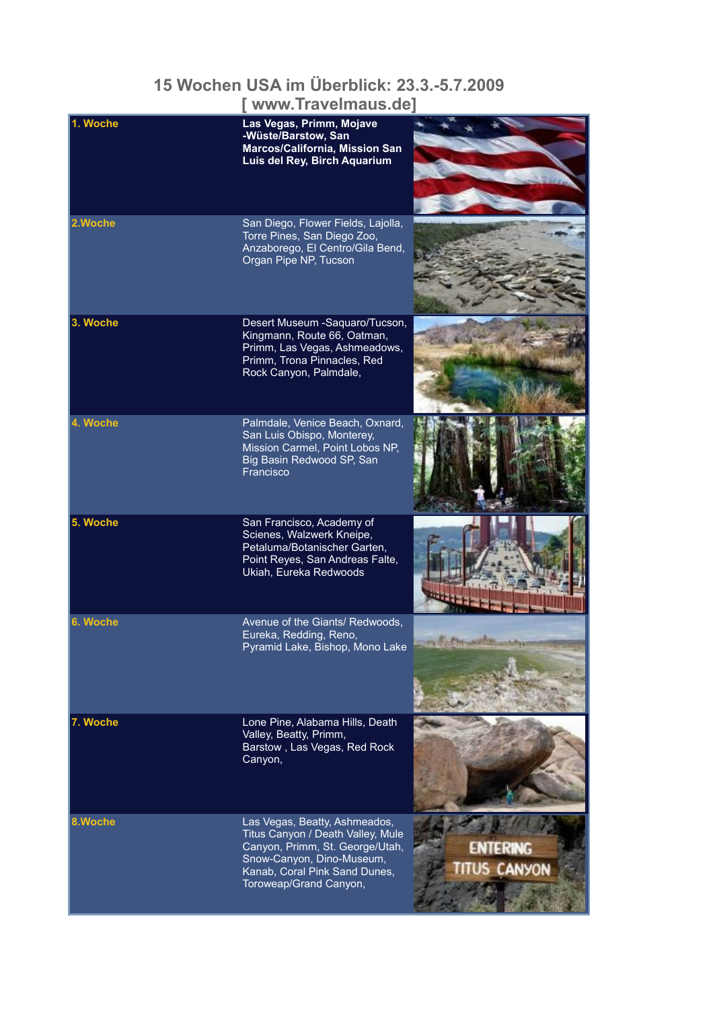## **15 Wochen USA im Überblick: 23.3.-5.7.2009**

**[ www.Travelmaus.de]**

| 1. Woche | Las Vegas, Primm, Mojave<br>-Wüste/Barstow, San<br>Marcos/California, Mission San<br>Luis del Rey, Birch Aquarium                                                                             |                                       |
|----------|-----------------------------------------------------------------------------------------------------------------------------------------------------------------------------------------------|---------------------------------------|
| 2.Woche  | San Diego, Flower Fields, Lajolla,<br>Torre Pines, San Diego Zoo,<br>Anzaborego, El Centro/Gila Bend,<br>Organ Pipe NP, Tucson                                                                |                                       |
| 3. Woche | Desert Museum -Saquaro/Tucson,<br>Kingmann, Route 66, Oatman,<br>Primm, Las Vegas, Ashmeadows,<br>Primm, Trona Pinnacles, Red<br>Rock Canyon, Palmdale,                                       |                                       |
| 4. Woche | Palmdale, Venice Beach, Oxnard,<br>San Luis Obispo, Monterey,<br>Mission Carmel, Point Lobos NP,<br>Big Basin Redwood SP, San<br>Francisco                                                    |                                       |
| 5. Woche | San Francisco, Academy of<br>Scienes, Walzwerk Kneipe,<br>Petaluma/Botanischer Garten,<br>Point Reyes, San Andreas Falte,<br>Ukiah, Eureka Redwoods                                           |                                       |
| 6. Woche | Avenue of the Giants/ Redwoods,<br>Eureka, Redding, Reno,<br>Pyramid Lake, Bishop, Mono Lake                                                                                                  |                                       |
| 7. Woche | Lone Pine, Alabama Hills, Death<br>Valley, Beatty, Primm,<br>Barstow, Las Vegas, Red Rock<br>Canyon,                                                                                          |                                       |
| 8.Woche  | Las Vegas, Beatty, Ashmeados,<br>Titus Canyon / Death Valley, Mule<br>Canyon, Primm, St. George/Utah,<br>Snow-Canyon, Dino-Museum,<br>Kanab, Coral Pink Sand Dunes,<br>Toroweap/Grand Canyon, | <b>ENTERING</b><br><b>ITUS CANYON</b> |